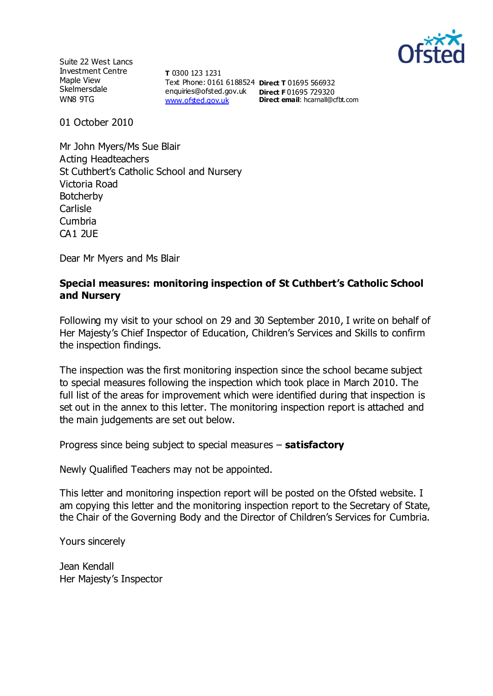

Suite 22 West Lancs Investment Centre Maple View **Skelmersdale** WN8 9TG

**T** 0300 123 1231 Text Phone: 0161 6188524 **Direct T** 01695 566932 enquiries@ofsted.gov.uk **Direct F** 01695 729320 [www.ofsted.gov.uk](http://www.ofsted.gov.uk/)

**Direct email**: hcarnall@cfbt.com

01 October 2010

Mr John Myers/Ms Sue Blair Acting Headteachers St Cuthbert's Catholic School and Nursery Victoria Road **Botcherby** Carlisle Cumbria CA1 2UE

Dear Mr Myers and Ms Blair

## **Special measures: monitoring inspection of St Cuthbert's Catholic School and Nursery**

Following my visit to your school on 29 and 30 September 2010, I write on behalf of Her Majesty's Chief Inspector of Education, Children's Services and Skills to confirm the inspection findings.

The inspection was the first monitoring inspection since the school became subject to special measures following the inspection which took place in March 2010. The full list of the areas for improvement which were identified during that inspection is set out in the annex to this letter. The monitoring inspection report is attached and the main judgements are set out below.

Progress since being subject to special measures – **satisfactory**

Newly Qualified Teachers may not be appointed.

This letter and monitoring inspection report will be posted on the Ofsted website. I am copying this letter and the monitoring inspection report to the Secretary of State, the Chair of the Governing Body and the Director of Children's Services for Cumbria.

Yours sincerely

Jean Kendall Her Majesty's Inspector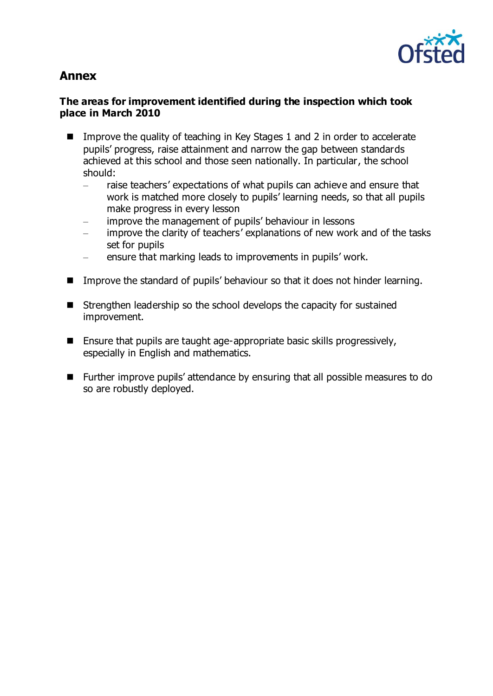

# **Annex**

## **The areas for improvement identified during the inspection which took place in March 2010**

- Improve the quality of teaching in Key Stages 1 and 2 in order to accelerate pupils' progress, raise attainment and narrow the gap between standards achieved at this school and those seen nationally. In particular, the school should:
	- raise teachers' expectations of what pupils can achieve and ensure that work is matched more closely to pupils' learning needs, so that all pupils make progress in every lesson
	- improve the management of pupils' behaviour in lessons
	- improve the clarity of teachers' explanations of new work and of the tasks set for pupils
	- ensure that marking leads to improvements in pupils' work.
- Improve the standard of pupils' behaviour so that it does not hinder learning.
- Strengthen leadership so the school develops the capacity for sustained improvement.
- Ensure that pupils are taught age-appropriate basic skills progressively, especially in English and mathematics.
- Further improve pupils' attendance by ensuring that all possible measures to do so are robustly deployed.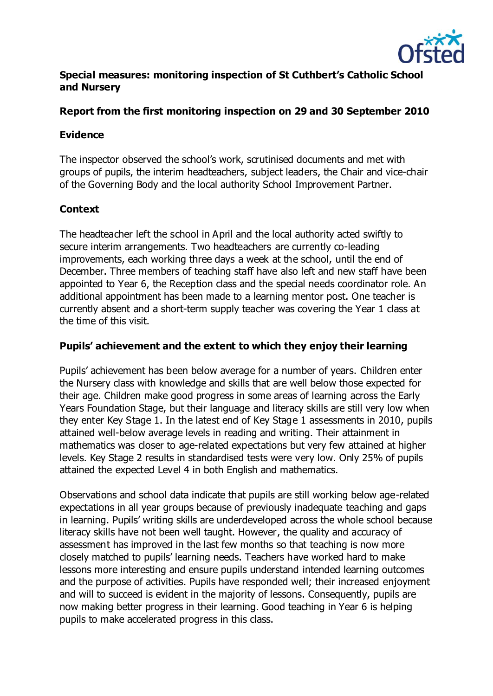

## **Special measures: monitoring inspection of St Cuthbert's Catholic School and Nursery**

## **Report from the first monitoring inspection on 29 and 30 September 2010**

## **Evidence**

The inspector observed the school's work, scrutinised documents and met with groups of pupils, the interim headteachers, subject leaders, the Chair and vice-chair of the Governing Body and the local authority School Improvement Partner.

## **Context**

The headteacher left the school in April and the local authority acted swiftly to secure interim arrangements. Two headteachers are currently co-leading improvements, each working three days a week at the school, until the end of December. Three members of teaching staff have also left and new staff have been appointed to Year 6, the Reception class and the special needs coordinator role. An additional appointment has been made to a learning mentor post. One teacher is currently absent and a short-term supply teacher was covering the Year 1 class at the time of this visit.

## **Pupils' achievement and the extent to which they enjoy their learning**

Pupils' achievement has been below average for a number of years. Children enter the Nursery class with knowledge and skills that are well below those expected for their age. Children make good progress in some areas of learning across the Early Years Foundation Stage, but their language and literacy skills are still very low when they enter Key Stage 1. In the latest end of Key Stage 1 assessments in 2010, pupils attained well-below average levels in reading and writing. Their attainment in mathematics was closer to age-related expectations but very few attained at higher levels. Key Stage 2 results in standardised tests were very low. Only 25% of pupils attained the expected Level 4 in both English and mathematics.

Observations and school data indicate that pupils are still working below age-related expectations in all year groups because of previously inadequate teaching and gaps in learning. Pupils' writing skills are underdeveloped across the whole school because literacy skills have not been well taught. However, the quality and accuracy of assessment has improved in the last few months so that teaching is now more closely matched to pupils' learning needs. Teachers have worked hard to make lessons more interesting and ensure pupils understand intended learning outcomes and the purpose of activities. Pupils have responded well; their increased enjoyment and will to succeed is evident in the majority of lessons. Consequently, pupils are now making better progress in their learning. Good teaching in Year 6 is helping pupils to make accelerated progress in this class.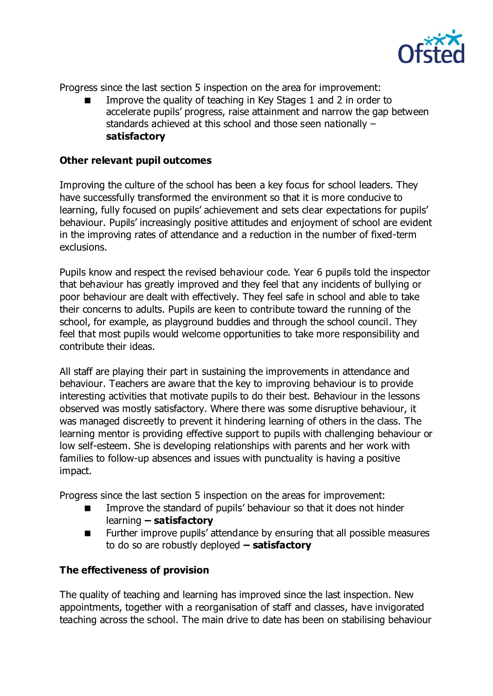

Progress since the last section 5 inspection on the area for improvement:

 Improve the quality of teaching in Key Stages 1 and 2 in order to accelerate pupils' progress, raise attainment and narrow the gap between standards achieved at this school and those seen nationally – **satisfactory**

#### **Other relevant pupil outcomes**

Improving the culture of the school has been a key focus for school leaders. They have successfully transformed the environment so that it is more conducive to learning, fully focused on pupils' achievement and sets clear expectations for pupils' behaviour. Pupils' increasingly positive attitudes and enjoyment of school are evident in the improving rates of attendance and a reduction in the number of fixed-term exclusions.

Pupils know and respect the revised behaviour code. Year 6 pupils told the inspector that behaviour has greatly improved and they feel that any incidents of bullying or poor behaviour are dealt with effectively. They feel safe in school and able to take their concerns to adults. Pupils are keen to contribute toward the running of the school, for example, as playground buddies and through the school council. They feel that most pupils would welcome opportunities to take more responsibility and contribute their ideas.

All staff are playing their part in sustaining the improvements in attendance and behaviour. Teachers are aware that the key to improving behaviour is to provide interesting activities that motivate pupils to do their best. Behaviour in the lessons observed was mostly satisfactory. Where there was some disruptive behaviour, it was managed discreetly to prevent it hindering learning of others in the class. The learning mentor is providing effective support to pupils with challenging behaviour or low self-esteem. She is developing relationships with parents and her work with families to follow-up absences and issues with punctuality is having a positive impact.

Progress since the last section 5 inspection on the areas for improvement:

- Improve the standard of pupils' behaviour so that it does not hinder learning **– satisfactory**
- **EXECUTE:** Further improve pupils' attendance by ensuring that all possible measures to do so are robustly deployed **– satisfactory**

## **The effectiveness of provision**

The quality of teaching and learning has improved since the last inspection. New appointments, together with a reorganisation of staff and classes, have invigorated teaching across the school. The main drive to date has been on stabilising behaviour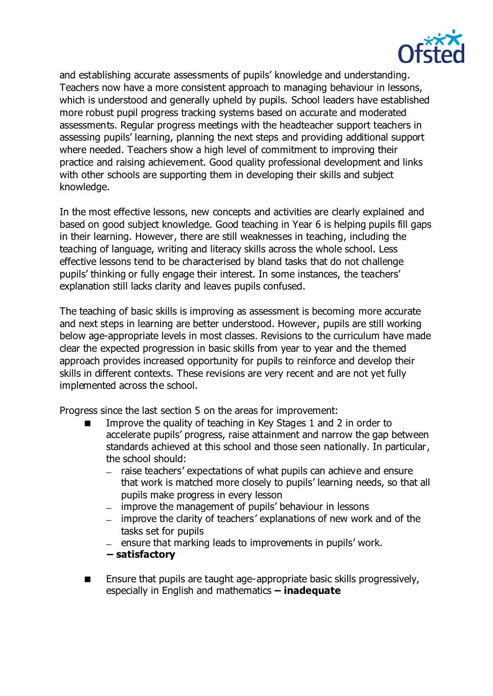

and establishing accurate assessments of pupils' knowledge and understanding. Teachers now have a more consistent approach to managing behaviour in lessons, which is understood and generally upheld by pupils. School leaders have established more robust pupil progress tracking systems based on accurate and moderated assessments. Regular progress meetings with the headteacher support teachers in assessing pupils' learning, planning the next steps and providing additional support where needed. Teachers show a high level of commitment to improving their practice and raising achievement. Good quality professional development and links with other schools are supporting them in developing their skills and subject knowledge.

In the most effective lessons, new concepts and activities are clearly explained and based on good subject knowledge. Good teaching in Year 6 is helping pupils fill gaps in their learning. However, there are still weaknesses in teaching, including the teaching of language, writing and literacy skills across the whole school. Less effective lessons tend to be characterised by bland tasks that do not challenge pupils' thinking or fully engage their interest. In some instances, the teachers' explanation still lacks clarity and leaves pupils confused.

The teaching of basic skills is improving as assessment is becoming more accurate and next steps in learning are better understood. However, pupils are still working below age-appropriate levels in most classes. Revisions to the curriculum have made clear the expected progression in basic skills from year to year and the themed approach provides increased opportunity for pupils to reinforce and develop their skills in different contexts. These revisions are very recent and are not yet fully implemented across the school.

Progress since the last section 5 on the areas for improvement:

- Improve the quality of teaching in Key Stages 1 and 2 in order to accelerate pupils' progress, raise attainment and narrow the gap between standards achieved at this school and those seen nationally. In particular, the school should:
	- raise teachers' expectations of what pupils can achieve and ensure that work is matched more closely to pupils' learning needs, so that all pupils make progress in every lesson
	- improve the management of pupils' behaviour in lessons
	- improve the clarity of teachers' explanations of new work and of the tasks set for pupils
	- $\mu$  ensure that marking leads to improvements in pupils' work.
	- **– satisfactory**
- Ensure that pupils are taught age-appropriate basic skills progressively, especially in English and mathematics **– inadequate**